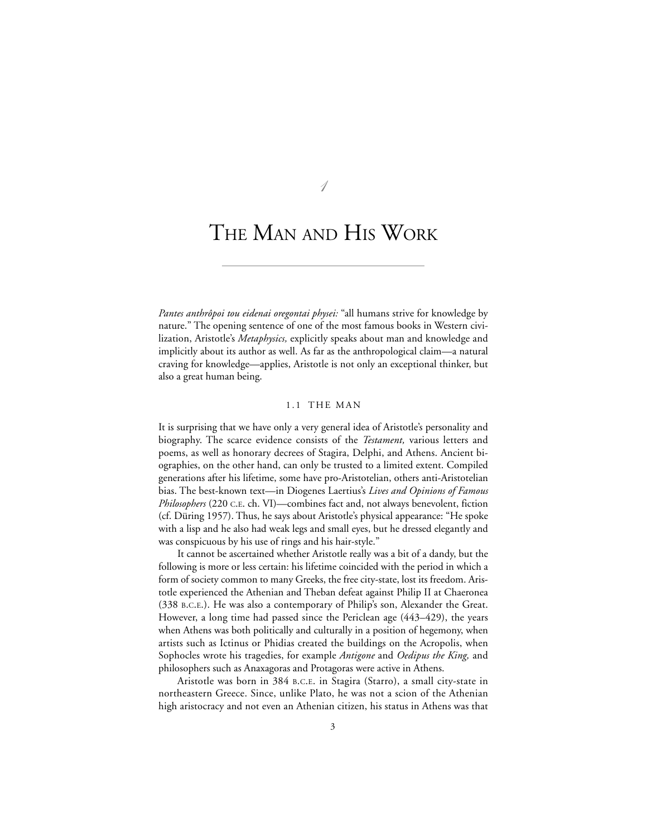1

# THE MAN AND HIS WORK

*Pantes anthrôpoi tou eidenai oregontai physei:* "all humans strive for knowledge by nature." The opening sentence of one of the most famous books in Western civilization, Aristotle's *Metaphysics,* explicitly speaks about man and knowledge and implicitly about its author as well. As far as the anthropological claim—a natural craving for knowledge—applies, Aristotle is not only an exceptional thinker, but also a great human being.

#### 1.1 THE MAN

It is surprising that we have only a very general idea of Aristotle's personality and biography. The scarce evidence consists of the *Testament,* various letters and poems, as well as honorary decrees of Stagira, Delphi, and Athens. Ancient biographies, on the other hand, can only be trusted to a limited extent. Compiled generations after his lifetime, some have pro-Aristotelian, others anti-Aristotelian bias. The best-known text—in Diogenes Laertius's *Lives and Opinions of Famous Philosophers* (220 C.E. ch. VI)—combines fact and, not always benevolent, fiction (cf. Düring 1957). Thus, he says about Aristotle's physical appearance: "He spoke with a lisp and he also had weak legs and small eyes, but he dressed elegantly and was conspicuous by his use of rings and his hair-style."

It cannot be ascertained whether Aristotle really was a bit of a dandy, but the following is more or less certain: his lifetime coincided with the period in which a form of society common to many Greeks, the free city-state, lost its freedom. Aristotle experienced the Athenian and Theban defeat against Philip II at Chaeronea (338 B.C.E.). He was also a contemporary of Philip's son, Alexander the Great. However, a long time had passed since the Periclean age (443–429), the years when Athens was both politically and culturally in a position of hegemony, when artists such as Ictinus or Phidias created the buildings on the Acropolis, when Sophocles wrote his tragedies, for example *Antigone* and *Oedipus the King,* and philosophers such as Anaxagoras and Protagoras were active in Athens.

Aristotle was born in 384 B.C.E. in Stagira (Starro), a small city-state in northeastern Greece. Since, unlike Plato, he was not a scion of the Athenian high aristocracy and not even an Athenian citizen, his status in Athens was that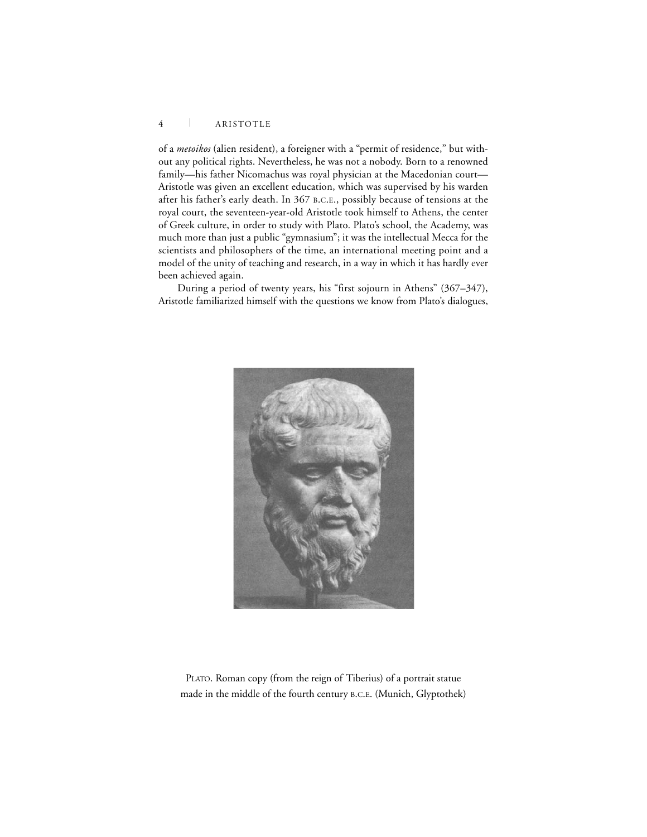## 4 ARISTOTLE

of a *metoikos* (alien resident), a foreigner with a "permit of residence," but without any political rights. Nevertheless, he was not a nobody. Born to a renowned family—his father Nicomachus was royal physician at the Macedonian court— Aristotle was given an excellent education, which was supervised by his warden after his father's early death. In 367 B.C.E., possibly because of tensions at the royal court, the seventeen-year-old Aristotle took himself to Athens, the center of Greek culture, in order to study with Plato. Plato's school, the Academy, was much more than just a public "gymnasium"; it was the intellectual Mecca for the scientists and philosophers of the time, an international meeting point and a model of the unity of teaching and research, in a way in which it has hardly ever been achieved again.

During a period of twenty years, his "first sojourn in Athens" (367–347), Aristotle familiarized himself with the questions we know from Plato's dialogues,



PLATO. Roman copy (from the reign of Tiberius) of a portrait statue made in the middle of the fourth century B.C.E. (Munich, Glyptothek)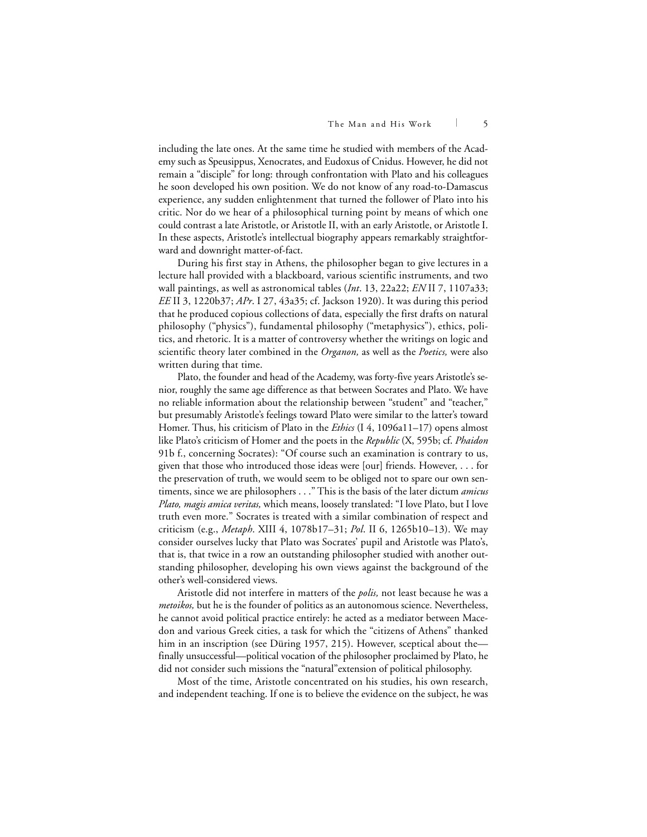including the late ones. At the same time he studied with members of the Academy such as Speusippus, Xenocrates, and Eudoxus of Cnidus. However, he did not remain a "disciple" for long: through confrontation with Plato and his colleagues he soon developed his own position. We do not know of any road-to-Damascus experience, any sudden enlightenment that turned the follower of Plato into his critic. Nor do we hear of a philosophical turning point by means of which one could contrast a late Aristotle, or Aristotle II, with an early Aristotle, or Aristotle I. In these aspects, Aristotle's intellectual biography appears remarkably straightforward and downright matter-of-fact.

During his first stay in Athens, the philosopher began to give lectures in a lecture hall provided with a blackboard, various scientific instruments, and two wall paintings, as well as astronomical tables (*Int*. 13, 22a22; *EN* II 7, 1107a33; *EE* II 3, 1220b37; *APr*. I 27, 43a35; cf. Jackson 1920). It was during this period that he produced copious collections of data, especially the first drafts on natural philosophy ("physics"), fundamental philosophy ("metaphysics"), ethics, politics, and rhetoric. It is a matter of controversy whether the writings on logic and scientific theory later combined in the *Organon,* as well as the *Poetics,* were also written during that time.

Plato, the founder and head of the Academy, was forty-five years Aristotle's senior, roughly the same age difference as that between Socrates and Plato. We have no reliable information about the relationship between "student" and "teacher," but presumably Aristotle's feelings toward Plato were similar to the latter's toward Homer. Thus, his criticism of Plato in the *Ethics* (I 4, 1096a11–17) opens almost like Plato's criticism of Homer and the poets in the *Republic* (X, 595b; cf. *Phaidon* 91b f., concerning Socrates): "Of course such an examination is contrary to us, given that those who introduced those ideas were [our] friends. However, . . . for the preservation of truth, we would seem to be obliged not to spare our own sentiments, since we are philosophers . . ." This is the basis of the later dictum *amicus Plato, magis amica veritas,* which means, loosely translated: "I love Plato, but I love truth even more." Socrates is treated with a similar combination of respect and criticism (e.g., *Metaph*. XIII 4, 1078b17–31; *Pol*. II 6, 1265b10–13). We may consider ourselves lucky that Plato was Socrates' pupil and Aristotle was Plato's, that is, that twice in a row an outstanding philosopher studied with another outstanding philosopher, developing his own views against the background of the other's well-considered views.

Aristotle did not interfere in matters of the *polis,* not least because he was a *metoikos,* but he is the founder of politics as an autonomous science. Nevertheless, he cannot avoid political practice entirely: he acted as a mediator between Macedon and various Greek cities, a task for which the "citizens of Athens" thanked him in an inscription (see Düring 1957, 215). However, sceptical about the finally unsuccessful—political vocation of the philosopher proclaimed by Plato, he did not consider such missions the "natural"extension of political philosophy.

Most of the time, Aristotle concentrated on his studies, his own research, and independent teaching. If one is to believe the evidence on the subject, he was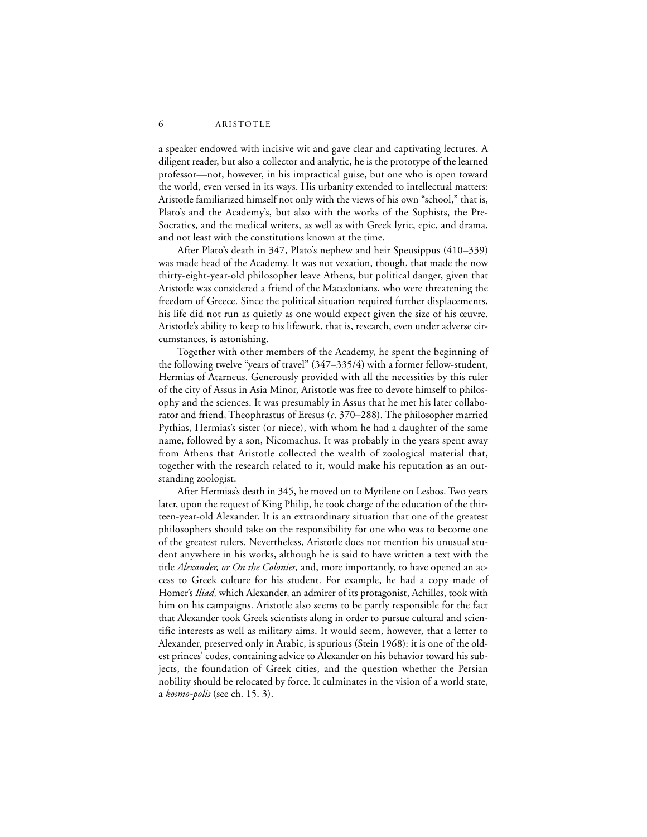a speaker endowed with incisive wit and gave clear and captivating lectures. A diligent reader, but also a collector and analytic, he is the prototype of the learned professor—not, however, in his impractical guise, but one who is open toward the world, even versed in its ways. His urbanity extended to intellectual matters: Aristotle familiarized himself not only with the views of his own "school," that is, Plato's and the Academy's, but also with the works of the Sophists, the Pre-Socratics, and the medical writers, as well as with Greek lyric, epic, and drama, and not least with the constitutions known at the time.

After Plato's death in 347, Plato's nephew and heir Speusippus (410–339) was made head of the Academy. It was not vexation, though, that made the now thirty-eight-year-old philosopher leave Athens, but political danger, given that Aristotle was considered a friend of the Macedonians, who were threatening the freedom of Greece. Since the political situation required further displacements, his life did not run as quietly as one would expect given the size of his œuvre. Aristotle's ability to keep to his lifework, that is, research, even under adverse circumstances, is astonishing.

Together with other members of the Academy, he spent the beginning of the following twelve "years of travel" (347–335/4) with a former fellow-student, Hermias of Atarneus. Generously provided with all the necessities by this ruler of the city of Assus in Asia Minor, Aristotle was free to devote himself to philosophy and the sciences. It was presumably in Assus that he met his later collaborator and friend, Theophrastus of Eresus (*c*. 370–288). The philosopher married Pythias, Hermias's sister (or niece), with whom he had a daughter of the same name, followed by a son, Nicomachus. It was probably in the years spent away from Athens that Aristotle collected the wealth of zoological material that, together with the research related to it, would make his reputation as an outstanding zoologist.

After Hermias's death in 345, he moved on to Mytilene on Lesbos. Two years later, upon the request of King Philip, he took charge of the education of the thirteen-year-old Alexander. It is an extraordinary situation that one of the greatest philosophers should take on the responsibility for one who was to become one of the greatest rulers. Nevertheless, Aristotle does not mention his unusual student anywhere in his works, although he is said to have written a text with the title *Alexander, or On the Colonies,* and, more importantly, to have opened an access to Greek culture for his student. For example, he had a copy made of Homer's *Iliad,* which Alexander, an admirer of its protagonist, Achilles, took with him on his campaigns. Aristotle also seems to be partly responsible for the fact that Alexander took Greek scientists along in order to pursue cultural and scientific interests as well as military aims. It would seem, however, that a letter to Alexander, preserved only in Arabic, is spurious (Stein 1968): it is one of the oldest princes' codes, containing advice to Alexander on his behavior toward his subjects, the foundation of Greek cities, and the question whether the Persian nobility should be relocated by force. It culminates in the vision of a world state, a *kosmo-polis* (see ch. 15. 3).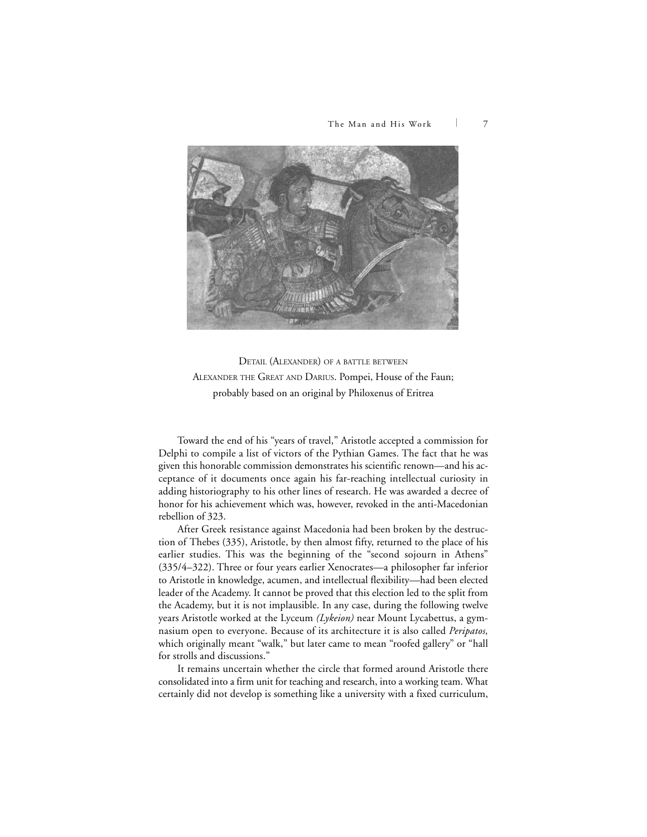

DETAIL (ALEXANDER) OF A BATTLE BETWEEN ALEXANDER THE GREAT AND DARIUS. Pompei, House of the Faun; probably based on an original by Philoxenus of Eritrea

Toward the end of his "years of travel," Aristotle accepted a commission for Delphi to compile a list of victors of the Pythian Games. The fact that he was given this honorable commission demonstrates his scientific renown—and his acceptance of it documents once again his far-reaching intellectual curiosity in adding historiography to his other lines of research. He was awarded a decree of honor for his achievement which was, however, revoked in the anti-Macedonian rebellion of 323.

After Greek resistance against Macedonia had been broken by the destruction of Thebes (335), Aristotle, by then almost fifty, returned to the place of his earlier studies. This was the beginning of the "second sojourn in Athens" (335/4–322). Three or four years earlier Xenocrates—a philosopher far inferior to Aristotle in knowledge, acumen, and intellectual flexibility—had been elected leader of the Academy. It cannot be proved that this election led to the split from the Academy, but it is not implausible. In any case, during the following twelve years Aristotle worked at the Lyceum *(Lykeion)* near Mount Lycabettus, a gymnasium open to everyone. Because of its architecture it is also called *Peripatos,* which originally meant "walk," but later came to mean "roofed gallery" or "hall for strolls and discussions."

It remains uncertain whether the circle that formed around Aristotle there consolidated into a firm unit for teaching and research, into a working team. What certainly did not develop is something like a university with a fixed curriculum,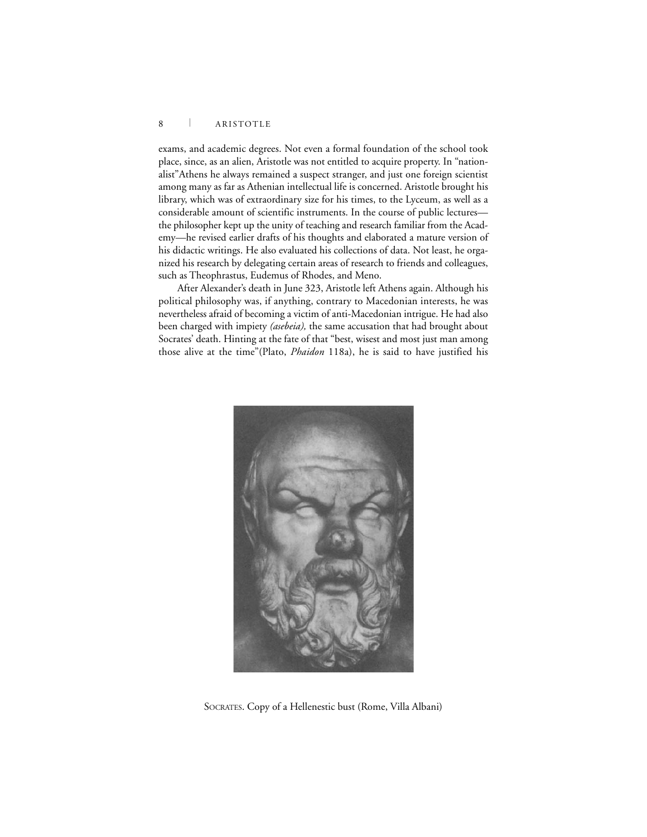### 8 ARISTOTLE

exams, and academic degrees. Not even a formal foundation of the school took place, since, as an alien, Aristotle was not entitled to acquire property. In "nationalist"Athens he always remained a suspect stranger, and just one foreign scientist among many as far as Athenian intellectual life is concerned. Aristotle brought his library, which was of extraordinary size for his times, to the Lyceum, as well as a considerable amount of scientific instruments. In the course of public lectures the philosopher kept up the unity of teaching and research familiar from the Academy—he revised earlier drafts of his thoughts and elaborated a mature version of his didactic writings. He also evaluated his collections of data. Not least, he organized his research by delegating certain areas of research to friends and colleagues, such as Theophrastus, Eudemus of Rhodes, and Meno.

After Alexander's death in June 323, Aristotle left Athens again. Although his political philosophy was, if anything, contrary to Macedonian interests, he was nevertheless afraid of becoming a victim of anti-Macedonian intrigue. He had also been charged with impiety *(asebeia),* the same accusation that had brought about Socrates' death. Hinting at the fate of that "best, wisest and most just man among those alive at the time"(Plato, *Phaidon* 118a), he is said to have justified his



SOCRATES. Copy of a Hellenestic bust (Rome, Villa Albani)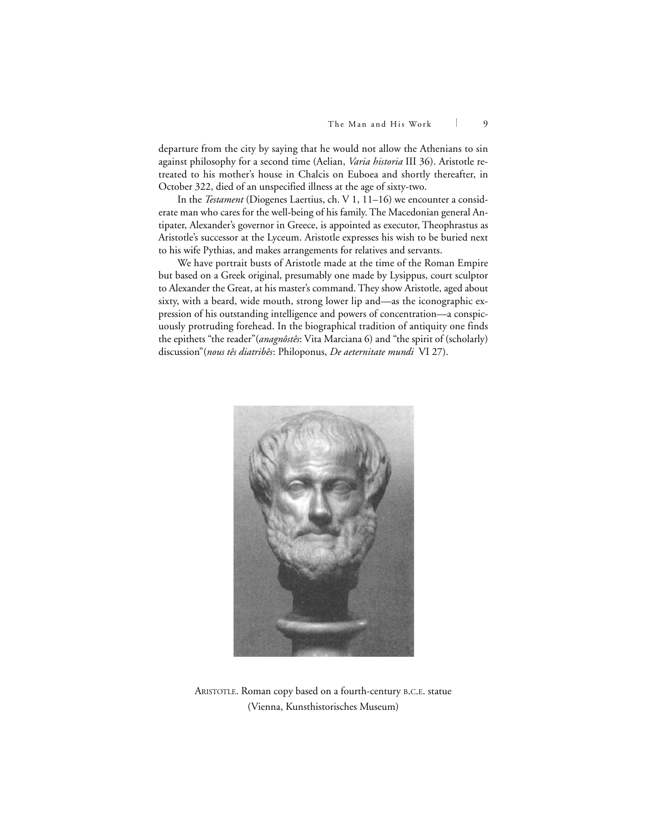departure from the city by saying that he would not allow the Athenians to sin against philosophy for a second time (Aelian, *Varia historia* III 36). Aristotle retreated to his mother's house in Chalcis on Euboea and shortly thereafter, in October 322, died of an unspecified illness at the age of sixty-two.

In the *Testament* (Diogenes Laertius, ch. V 1, 11–16) we encounter a considerate man who cares for the well-being of his family. The Macedonian general Antipater, Alexander's governor in Greece, is appointed as executor, Theophrastus as Aristotle's successor at the Lyceum. Aristotle expresses his wish to be buried next to his wife Pythias, and makes arrangements for relatives and servants.

We have portrait busts of Aristotle made at the time of the Roman Empire but based on a Greek original, presumably one made by Lysippus, court sculptor to Alexander the Great, at his master's command. They show Aristotle, aged about sixty, with a beard, wide mouth, strong lower lip and—as the iconographic expression of his outstanding intelligence and powers of concentration—a conspicuously protruding forehead. In the biographical tradition of antiquity one finds the epithets "the reader"(*anagnôstês*: Vita Marciana 6) and "the spirit of (scholarly) discussion"(*nous tês diatribês*: Philoponus, *De aeternitate mundi* VI 27).



ARISTOTLE. Roman copy based on a fourth-century B.C.E. statue (Vienna, Kunsthistorisches Museum)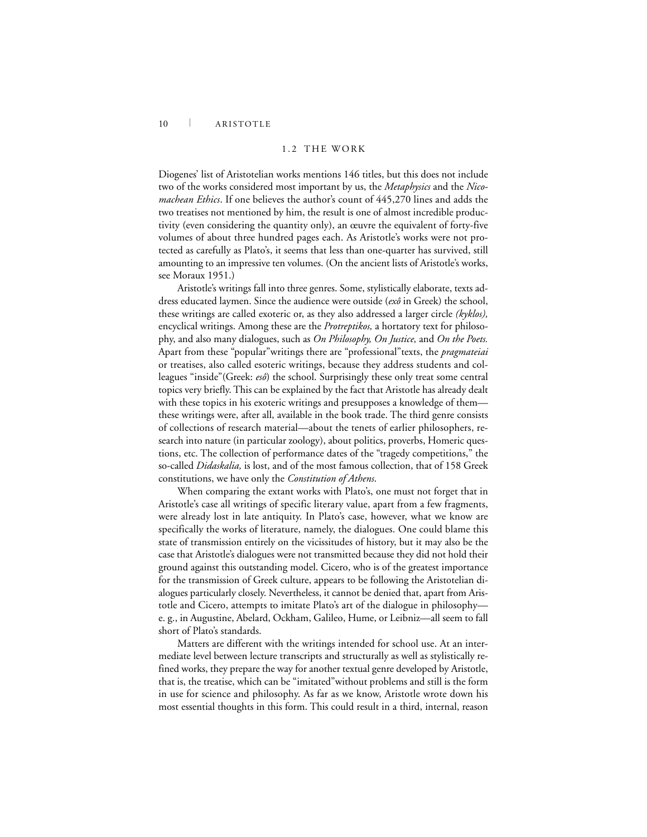#### 1.2 THE WORK

Diogenes' list of Aristotelian works mentions 146 titles, but this does not include two of the works considered most important by us, the *Metaphysics* and the *Nicomachean Ethics*. If one believes the author's count of 445,270 lines and adds the two treatises not mentioned by him, the result is one of almost incredible productivity (even considering the quantity only), an œuvre the equivalent of forty-five volumes of about three hundred pages each. As Aristotle's works were not protected as carefully as Plato's, it seems that less than one-quarter has survived, still amounting to an impressive ten volumes. (On the ancient lists of Aristotle's works, see Moraux 1951.)

Aristotle's writings fall into three genres. Some, stylistically elaborate, texts address educated laymen. Since the audience were outside (*exô* in Greek) the school, these writings are called exoteric or, as they also addressed a larger circle *(kyklos),* encyclical writings. Among these are the *Protreptikos,* a hortatory text for philosophy, and also many dialogues, such as *On Philosophy, On Justice,* and *On the Poets.* Apart from these "popular"writings there are "professional"texts, the *pragmateiai* or treatises, also called esoteric writings, because they address students and colleagues "inside"(Greek: *esô*) the school. Surprisingly these only treat some central topics very briefly. This can be explained by the fact that Aristotle has already dealt with these topics in his exoteric writings and presupposes a knowledge of themthese writings were, after all, available in the book trade. The third genre consists of collections of research material—about the tenets of earlier philosophers, research into nature (in particular zoology), about politics, proverbs, Homeric questions, etc. The collection of performance dates of the "tragedy competitions," the so-called *Didaskalia,* is lost, and of the most famous collection, that of 158 Greek constitutions, we have only the *Constitution of Athens*.

When comparing the extant works with Plato's, one must not forget that in Aristotle's case all writings of specific literary value, apart from a few fragments, were already lost in late antiquity. In Plato's case, however, what we know are specifically the works of literature, namely, the dialogues. One could blame this state of transmission entirely on the vicissitudes of history, but it may also be the case that Aristotle's dialogues were not transmitted because they did not hold their ground against this outstanding model. Cicero, who is of the greatest importance for the transmission of Greek culture, appears to be following the Aristotelian dialogues particularly closely. Nevertheless, it cannot be denied that, apart from Aristotle and Cicero, attempts to imitate Plato's art of the dialogue in philosophy e. g., in Augustine, Abelard, Ockham, Galileo, Hume, or Leibniz—all seem to fall short of Plato's standards.

Matters are different with the writings intended for school use. At an intermediate level between lecture transcripts and structurally as well as stylistically refined works, they prepare the way for another textual genre developed by Aristotle, that is, the treatise, which can be "imitated"without problems and still is the form in use for science and philosophy. As far as we know, Aristotle wrote down his most essential thoughts in this form. This could result in a third, internal, reason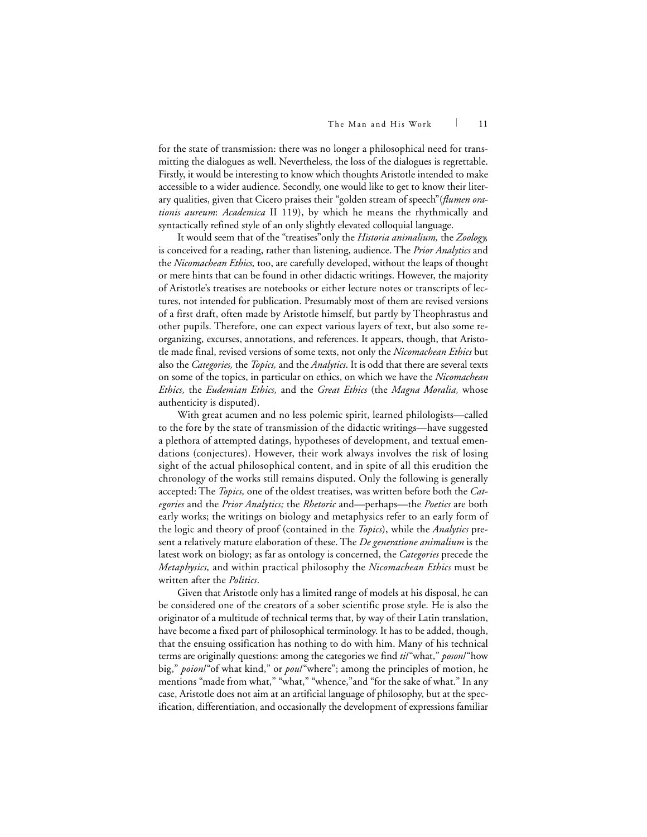for the state of transmission: there was no longer a philosophical need for transmitting the dialogues as well. Nevertheless, the loss of the dialogues is regrettable. Firstly, it would be interesting to know which thoughts Aristotle intended to make accessible to a wider audience. Secondly, one would like to get to know their literary qualities, given that Cicero praises their "golden stream of speech"(*flumen orationis aureum*: *Academica* II 119), by which he means the rhythmically and syntactically refined style of an only slightly elevated colloquial language.

It would seem that of the "treatises"only the *Historia animalium,* the *Zoology,* is conceived for a reading, rather than listening, audience. The *Prior Analytics* and the *Nicomachean Ethics,* too, are carefully developed, without the leaps of thought or mere hints that can be found in other didactic writings. However, the majority of Aristotle's treatises are notebooks or either lecture notes or transcripts of lectures, not intended for publication. Presumably most of them are revised versions of a first draft, often made by Aristotle himself, but partly by Theophrastus and other pupils. Therefore, one can expect various layers of text, but also some reorganizing, excurses, annotations, and references. It appears, though, that Aristotle made final, revised versions of some texts, not only the *Nicomachean Ethics* but also the *Categories,* the *Topics,* and the *Analytics*. It is odd that there are several texts on some of the topics, in particular on ethics, on which we have the *Nicomachean Ethics,* the *Eudemian Ethics,* and the *Great Ethics* (the *Magna Moralia,* whose authenticity is disputed).

With great acumen and no less polemic spirit, learned philologists—called to the fore by the state of transmission of the didactic writings—have suggested a plethora of attempted datings, hypotheses of development, and textual emendations (conjectures). However, their work always involves the risk of losing sight of the actual philosophical content, and in spite of all this erudition the chronology of the works still remains disputed. Only the following is generally accepted: The *Topics,* one of the oldest treatises, was written before both the *Categories* and the *Prior Analytics;* the *Rhetoric* and—perhaps—the *Poetics* are both early works; the writings on biology and metaphysics refer to an early form of the logic and theory of proof (contained in the *Topics*), while the *Analytics* present a relatively mature elaboration of these. The *De generatione animalium* is the latest work on biology; as far as ontology is concerned, the *Categories* precede the *Metaphysics,* and within practical philosophy the *Nicomachean Ethics* must be written after the *Politics*.

Given that Aristotle only has a limited range of models at his disposal, he can be considered one of the creators of a sober scientific prose style. He is also the originator of a multitude of technical terms that, by way of their Latin translation, have become a fixed part of philosophical terminology. It has to be added, though, that the ensuing ossification has nothing to do with him. Many of his technical terms are originally questions: among the categories we find *ti*/"what," *poson*/"how big," *poion*/"of what kind," or *pou*/"where"; among the principles of motion, he mentions "made from what," "what," "whence," and "for the sake of what." In any case, Aristotle does not aim at an artificial language of philosophy, but at the specification, differentiation, and occasionally the development of expressions familiar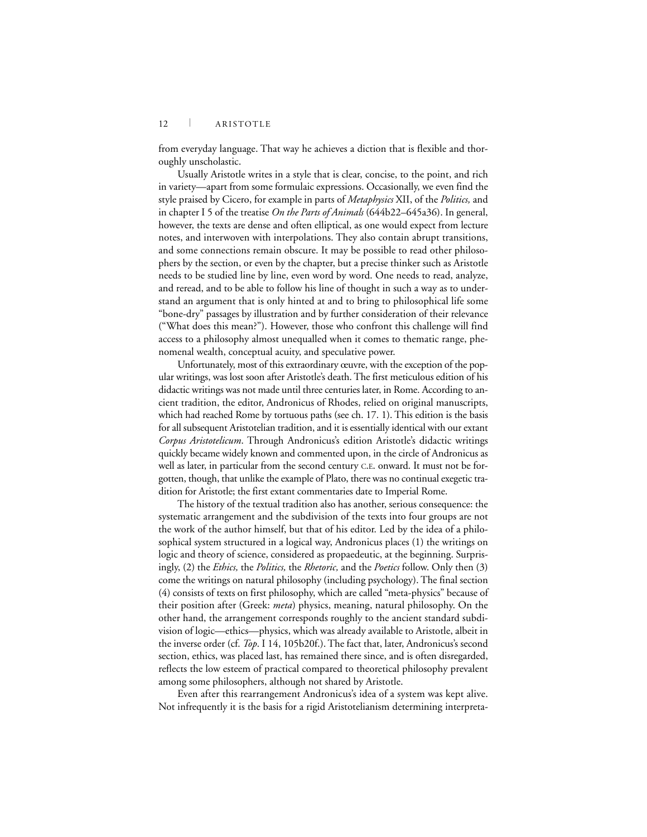from everyday language. That way he achieves a diction that is flexible and thoroughly unscholastic.

Usually Aristotle writes in a style that is clear, concise, to the point, and rich in variety—apart from some formulaic expressions. Occasionally, we even find the style praised by Cicero, for example in parts of *Metaphysics* XII, of the *Politics,* and in chapter I 5 of the treatise *On the Parts of Animals* (644b22–645a36). In general, however, the texts are dense and often elliptical, as one would expect from lecture notes, and interwoven with interpolations. They also contain abrupt transitions, and some connections remain obscure. It may be possible to read other philosophers by the section, or even by the chapter, but a precise thinker such as Aristotle needs to be studied line by line, even word by word. One needs to read, analyze, and reread, and to be able to follow his line of thought in such a way as to understand an argument that is only hinted at and to bring to philosophical life some "bone-dry" passages by illustration and by further consideration of their relevance ("What does this mean?"). However, those who confront this challenge will find access to a philosophy almost unequalled when it comes to thematic range, phenomenal wealth, conceptual acuity, and speculative power.

Unfortunately, most of this extraordinary œuvre, with the exception of the popular writings, was lost soon after Aristotle's death. The first meticulous edition of his didactic writings was not made until three centuries later, in Rome. According to ancient tradition, the editor, Andronicus of Rhodes, relied on original manuscripts, which had reached Rome by tortuous paths (see ch. 17. 1). This edition is the basis for all subsequent Aristotelian tradition, and it is essentially identical with our extant *Corpus Aristotelicum*. Through Andronicus's edition Aristotle's didactic writings quickly became widely known and commented upon, in the circle of Andronicus as well as later, in particular from the second century C.E. onward. It must not be forgotten, though, that unlike the example of Plato, there was no continual exegetic tradition for Aristotle; the first extant commentaries date to Imperial Rome.

The history of the textual tradition also has another, serious consequence: the systematic arrangement and the subdivision of the texts into four groups are not the work of the author himself, but that of his editor. Led by the idea of a philosophical system structured in a logical way, Andronicus places (1) the writings on logic and theory of science, considered as propaedeutic, at the beginning. Surprisingly, (2) the *Ethics,* the *Politics,* the *Rhetoric,* and the *Poetics* follow. Only then (3) come the writings on natural philosophy (including psychology). The final section (4) consists of texts on first philosophy, which are called "meta-physics" because of their position after (Greek: *meta*) physics, meaning, natural philosophy. On the other hand, the arrangement corresponds roughly to the ancient standard subdivision of logic—ethics—physics, which was already available to Aristotle, albeit in the inverse order (cf. *Top*. I 14, 105b20f.). The fact that, later, Andronicus's second section, ethics, was placed last, has remained there since, and is often disregarded, reflects the low esteem of practical compared to theoretical philosophy prevalent among some philosophers, although not shared by Aristotle.

Even after this rearrangement Andronicus's idea of a system was kept alive. Not infrequently it is the basis for a rigid Aristotelianism determining interpreta